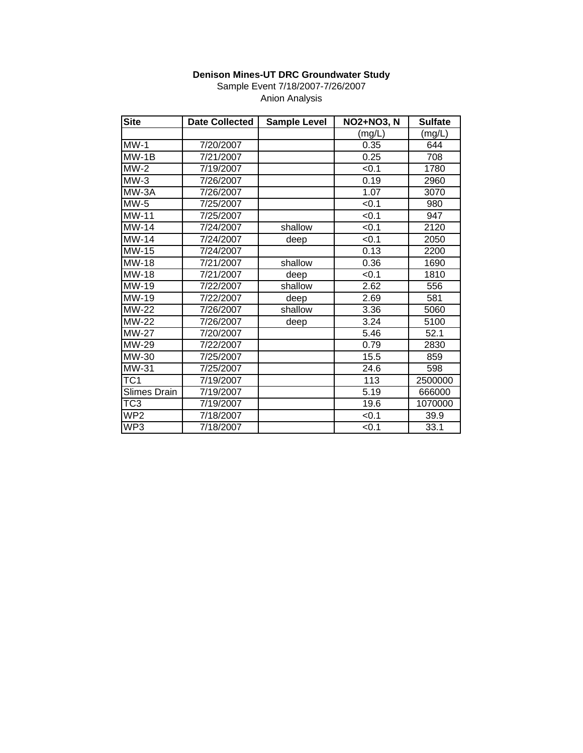Sample Event 7/18/2007-7/26/2007 Anion Analysis

| <b>Site</b>         | <b>Date Collected</b> | <b>Sample Level</b> | <b>NO2+NO3, N</b> | <b>Sulfate</b> |
|---------------------|-----------------------|---------------------|-------------------|----------------|
|                     |                       |                     | (mg/L)            | mg/L)          |
| $MW-1$              | 7/20/2007             |                     | 0.35              | 644            |
| $MW-1B$             | 7/21/2007             |                     | 0.25              | 708            |
| $MW-2$              | 7/19/2007             |                     | < 0.1             | 1780           |
| $MW-3$              | 7/26/2007             |                     | 0.19              | 2960           |
| MW-3A               | 7/26/2007             |                     | 1.07              | 3070           |
| $MW-5$              | 7/25/2007             |                     | < 0.1             | 980            |
| $MW-11$             | 7/25/2007             |                     | < 0.1             | 947            |
| $MW-14$             | 7/24/2007             | shallow             | < 0.1             | 2120           |
| $MW-14$             | 7/24/2007             | deep                | $\overline{50.1}$ | 2050           |
| MW-15               | 7/24/2007             |                     | 0.13              | 2200           |
| MW-18               | 7/21/2007             | shallow             | 0.36              | 1690           |
| <b>MW-18</b>        | 7/21/2007             | deep                | < 0.1             | 1810           |
| MW-19               | 7/22/2007             | shallow             | 2.62              | 556            |
| MW-19               | 7/22/2007             | deep                | 2.69              | 581            |
| MW-22               | 7/26/2007             | shallow             | 3.36              | 5060           |
| <b>MW-22</b>        | 7/26/2007             | deep                | 3.24              | 5100           |
| <b>MW-27</b>        | 7/20/2007             |                     | 5.46              | 52.1           |
| MW-29               | 7/22/2007             |                     | 0.79              | 2830           |
| MW-30               | 7/25/2007             |                     | 15.5              | 859            |
| MW-31               | 7/25/2007             |                     | 24.6              | 598            |
| TC1                 | 7/19/2007             |                     | 113               | 2500000        |
| <b>Slimes Drain</b> | 7/19/2007             |                     | 5.19              | 666000         |
| TC <sub>3</sub>     | 7/19/2007             |                     | 19.6              | 1070000        |
| WP <sub>2</sub>     | 7/18/2007             |                     | < 0.1             | 39.9           |
| WP3                 | 7/18/2007             |                     | < 0.1             | 33.1           |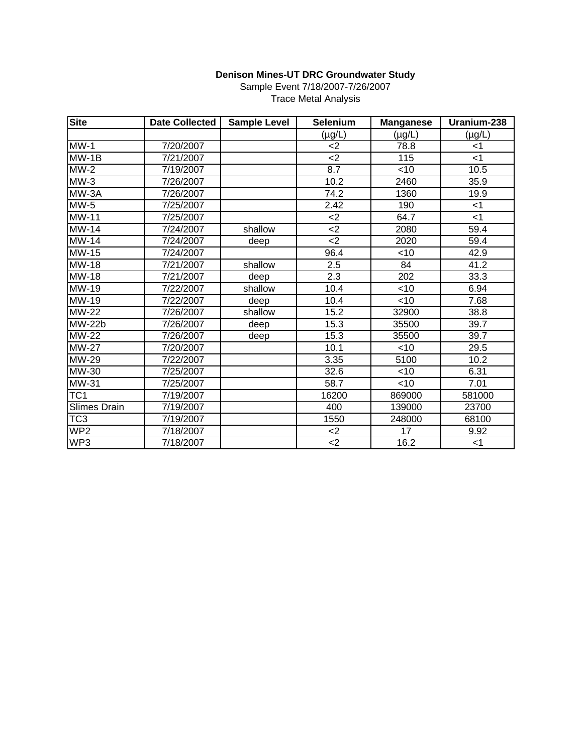Sample Event 7/18/2007-7/26/2007 Trace Metal Analysis

| <b>Site</b>                | <b>Date Collected</b> | <b>Sample Level</b> | <b>Selenium</b> | <b>Manganese</b> | Uranium-238       |
|----------------------------|-----------------------|---------------------|-----------------|------------------|-------------------|
|                            |                       |                     | $(\mu g/L)$     | $(\mu g/L)$      | $(\mu g/L)$       |
| $MW-1$                     | 7/20/2007             |                     | <2              | 78.8             | $<$ 1             |
| $MW-1B$                    | 7/21/2007             |                     | $2$             | 115              | < 1               |
| $\overline{\text{MW-2}}$   | 7/19/2007             |                     | 8.7             | $<$ 10           | 10.5              |
| $MW-3$                     | 7/26/2007             |                     | 10.2            | 2460             | 35.9              |
| MW-3A                      | 7/26/2007             |                     | 74.2            | 1360             | 19.9              |
| $MW-5$                     | 7/25/2007             |                     | 2.42            | 190              | $<$ 1             |
| <b>MW-11</b>               | 7/25/2007             |                     | $2$             | 64.7             | $<$ 1             |
| <b>MW-14</b>               | 7/24/2007             | shallow             | $2$             | 2080             | 59.4              |
| <b>MW-14</b>               | 7/24/2007             | deep                | $2$             | 2020             | 59.4              |
| <b>MW-15</b>               | 7/24/2007             |                     | 96.4            | <10              | $\overline{42.9}$ |
| <b>MW-18</b>               | 7/21/2007             | shallow             | 2.5             | 84               | 41.2              |
| $\overline{M}W-18$         | 7/21/2007             | deep                | 2.3             | 202              | 33.3              |
| MW-19                      | 7/22/2007             | shallow             | 10.4            | $<$ 10           | 6.94              |
| MW-19                      | 7/22/2007             | deep                | 10.4            | $<$ 10           | 7.68              |
| <b>MW-22</b>               | 7/26/2007             | shallow             | 15.2            | 32900            | 38.8              |
| $\overline{\text{MW-22b}}$ | 7/26/2007             | deep                | 15.3            | 35500            | 39.7              |
| <b>MW-22</b>               | 7/26/2007             | deep                | 15.3            | 35500            | 39.7              |
| <b>MW-27</b>               | 7/20/2007             |                     | 10.1            | $<$ 10           | 29.5              |
| <b>MW-29</b>               | 7/22/2007             |                     | 3.35            | 5100             | 10.2              |
| MW-30                      | 7/25/2007             |                     | 32.6            | $<$ 10           | 6.31              |
| MW-31                      | 7/25/2007             |                     | 58.7            | $<$ 10           | 7.01              |
| TC <sub>1</sub>            | 7/19/2007             |                     | 16200           | 869000           | 581000            |
| <b>Slimes Drain</b>        | 7/19/2007             |                     | 400             | 139000           | 23700             |
| TC <sub>3</sub>            | 7/19/2007             |                     | 1550            | 248000           | 68100             |
| WP <sub>2</sub>            | 7/18/2007             |                     | $<$ 2           | 17               | 9.92              |
| WP3                        | 7/18/2007             |                     | $\leq$ 2        | 16.2             | $<$ 1             |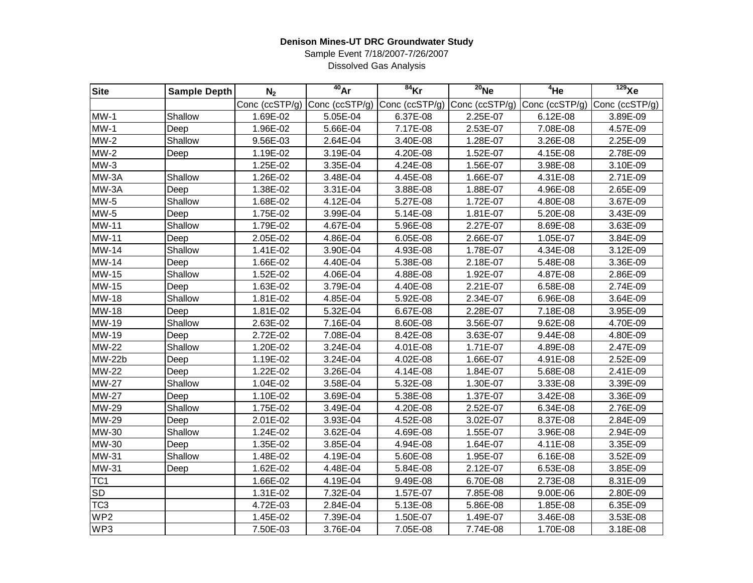Sample Event 7/18/2007-7/26/2007 Dissolved Gas Analysis

| <b>Site</b>     | <b>Sample Depth</b> | N <sub>2</sub> | $40$ Ar                               | $84$ Kr                                                     | $20$ Ne  | $4$ He   | $129$ Xe |
|-----------------|---------------------|----------------|---------------------------------------|-------------------------------------------------------------|----------|----------|----------|
|                 |                     |                | Conc (ccSTP/g) $\vert$ Conc (ccSTP/g) | Conc (ccSTP/g) Conc (ccSTP/g) Conc (ccSTP/g) Conc (ccSTP/g) |          |          |          |
| $MW-1$          | Shallow             | 1.69E-02       | 5.05E-04                              | 6.37E-08                                                    | 2.25E-07 | 6.12E-08 | 3.89E-09 |
| $MW-1$          | Deep                | 1.96E-02       | 5.66E-04                              | 7.17E-08                                                    | 2.53E-07 | 7.08E-08 | 4.57E-09 |
| $MW-2$          | Shallow             | 9.56E-03       | 2.64E-04                              | 3.40E-08                                                    | 1.28E-07 | 3.26E-08 | 2.25E-09 |
| $MW-2$          | Deep                | 1.19E-02       | 3.19E-04                              | 4.20E-08                                                    | 1.52E-07 | 4.15E-08 | 2.78E-09 |
| $MW-3$          |                     | 1.25E-02       | 3.35E-04                              | 4.24E-08                                                    | 1.56E-07 | 3.98E-08 | 3.10E-09 |
| MW-3A           | Shallow             | 1.26E-02       | 3.48E-04                              | 4.45E-08                                                    | 1.66E-07 | 4.31E-08 | 2.71E-09 |
| MW-3A           | Deep                | 1.38E-02       | 3.31E-04                              | 3.88E-08                                                    | 1.88E-07 | 4.96E-08 | 2.65E-09 |
| MW-5            | Shallow             | 1.68E-02       | 4.12E-04                              | 5.27E-08                                                    | 1.72E-07 | 4.80E-08 | 3.67E-09 |
| MW-5            | Deep                | 1.75E-02       | 3.99E-04                              | 5.14E-08                                                    | 1.81E-07 | 5.20E-08 | 3.43E-09 |
| <b>MW-11</b>    | Shallow             | 1.79E-02       | 4.67E-04                              | 5.96E-08                                                    | 2.27E-07 | 8.69E-08 | 3.63E-09 |
| <b>MW-11</b>    | Deep                | 2.05E-02       | 4.86E-04                              | 6.05E-08                                                    | 2.66E-07 | 1.05E-07 | 3.84E-09 |
| <b>MW-14</b>    | Shallow             | 1.41E-02       | 3.90E-04                              | 4.93E-08                                                    | 1.78E-07 | 4.34E-08 | 3.12E-09 |
| <b>MW-14</b>    | Deep                | 1.66E-02       | 4.40E-04                              | 5.38E-08                                                    | 2.18E-07 | 5.48E-08 | 3.36E-09 |
| <b>MW-15</b>    | Shallow             | 1.52E-02       | 4.06E-04                              | 4.88E-08                                                    | 1.92E-07 | 4.87E-08 | 2.86E-09 |
| <b>MW-15</b>    | Deep                | 1.63E-02       | 3.79E-04                              | 4.40E-08                                                    | 2.21E-07 | 6.58E-08 | 2.74E-09 |
| <b>MW-18</b>    | Shallow             | 1.81E-02       | 4.85E-04                              | 5.92E-08                                                    | 2.34E-07 | 6.96E-08 | 3.64E-09 |
| <b>MW-18</b>    | Deep                | 1.81E-02       | 5.32E-04                              | 6.67E-08                                                    | 2.28E-07 | 7.18E-08 | 3.95E-09 |
| MW-19           | Shallow             | 2.63E-02       | 7.16E-04                              | 8.60E-08                                                    | 3.56E-07 | 9.62E-08 | 4.70E-09 |
| MW-19           | Deep                | 2.72E-02       | 7.08E-04                              | 8.42E-08                                                    | 3.63E-07 | 9.44E-08 | 4.80E-09 |
| <b>MW-22</b>    | Shallow             | 1.20E-02       | 3.24E-04                              | 4.01E-08                                                    | 1.71E-07 | 4.89E-08 | 2.47E-09 |
| MW-22b          | Deep                | 1.19E-02       | 3.24E-04                              | 4.02E-08                                                    | 1.66E-07 | 4.91E-08 | 2.52E-09 |
| <b>MW-22</b>    | Deep                | 1.22E-02       | 3.26E-04                              | 4.14E-08                                                    | 1.84E-07 | 5.68E-08 | 2.41E-09 |
| <b>MW-27</b>    | Shallow             | 1.04E-02       | 3.58E-04                              | 5.32E-08                                                    | 1.30E-07 | 3.33E-08 | 3.39E-09 |
| <b>MW-27</b>    | Deep                | 1.10E-02       | 3.69E-04                              | 5.38E-08                                                    | 1.37E-07 | 3.42E-08 | 3.36E-09 |
| MW-29           | Shallow             | 1.75E-02       | 3.49E-04                              | 4.20E-08                                                    | 2.52E-07 | 6.34E-08 | 2.76E-09 |
| <b>MW-29</b>    | Deep                | 2.01E-02       | 3.93E-04                              | 4.52E-08                                                    | 3.02E-07 | 8.37E-08 | 2.84E-09 |
| MW-30           | Shallow             | 1.24E-02       | 3.62E-04                              | 4.69E-08                                                    | 1.55E-07 | 3.96E-08 | 2.94E-09 |
| <b>MW-30</b>    | Deep                | 1.35E-02       | 3.85E-04                              | 4.94E-08                                                    | 1.64E-07 | 4.11E-08 | 3.35E-09 |
| MW-31           | Shallow             | 1.48E-02       | 4.19E-04                              | 5.60E-08                                                    | 1.95E-07 | 6.16E-08 | 3.52E-09 |
| MW-31           | Deep                | 1.62E-02       | 4.48E-04                              | 5.84E-08                                                    | 2.12E-07 | 6.53E-08 | 3.85E-09 |
| TC <sub>1</sub> |                     | 1.66E-02       | 4.19E-04                              | 9.49E-08                                                    | 6.70E-08 | 2.73E-08 | 8.31E-09 |
| SD              |                     | 1.31E-02       | 7.32E-04                              | 1.57E-07                                                    | 7.85E-08 | 9.00E-06 | 2.80E-09 |
| TC <sub>3</sub> |                     | 4.72E-03       | 2.84E-04                              | 5.13E-08                                                    | 5.86E-08 | 1.85E-08 | 6.35E-09 |
| WP <sub>2</sub> |                     | 1.45E-02       | 7.39E-04                              | 1.50E-07                                                    | 1.49E-07 | 3.46E-08 | 3.53E-08 |
| WP3             |                     | 7.50E-03       | 3.76E-04                              | 7.05E-08                                                    | 7.74E-08 | 1.70E-08 | 3.18E-08 |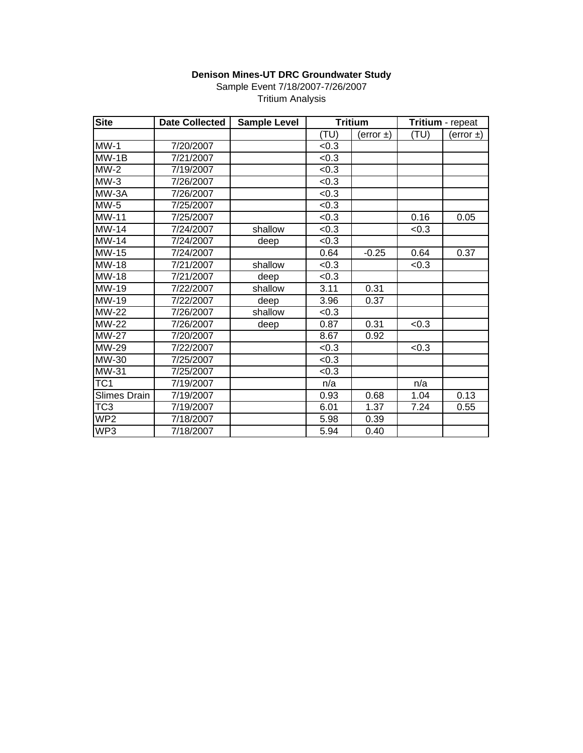Sample Event 7/18/2007-7/26/2007

|  | <b>Tritium Analysis</b> |
|--|-------------------------|
|--|-------------------------|

| <b>Site</b>               | <b>Date Collected</b> | <b>Sample Level</b> | <b>Tritium</b> |                | Tritium - repeat |             |
|---------------------------|-----------------------|---------------------|----------------|----------------|------------------|-------------|
|                           |                       |                     | (TU)           | (error $\pm$ ) | (TU)             | $(error +)$ |
| $MW-1$                    | 7/20/2007             |                     | <0.3           |                |                  |             |
| $MW-1B$                   | 7/21/2007             |                     | <0.3           |                |                  |             |
| $MW-2$                    | 7/19/2007             |                     | < 0.3          |                |                  |             |
| $MW-3$                    | 7/26/2007             |                     | < 0.3          |                |                  |             |
| MW-3A                     | 7/26/2007             |                     | <0.3           |                |                  |             |
| $MW-5$                    | 7/25/2007             |                     | < 0.3          |                |                  |             |
| MW-11                     | 7/25/2007             |                     | <0.3           |                | 0.16             | 0.05        |
| $\overline{\text{MW-14}}$ | 7/24/2007             | shallow             | <0.3           |                | <0.3             |             |
| MW-14                     | 7/24/2007             | deep                | < 0.3          |                |                  |             |
| MW-15                     | 7/24/2007             |                     | 0.64           | $-0.25$        | 0.64             | 0.37        |
| <b>MW-18</b>              | 7/21/2007             | shallow             | <0.3           |                | <0.3             |             |
| <b>MW-18</b>              | 7/21/2007             | deep                | <0.3           |                |                  |             |
| MW-19                     | 7/22/2007             | shallow             | 3.11           | 0.31           |                  |             |
| MW-19                     | 7/22/2007             | deep                | 3.96           | 0.37           |                  |             |
| MW-22                     | 7/26/2007             | shallow             | <0.3           |                |                  |             |
| $\overline{\text{MW-22}}$ | 7/26/2007             | deep                | 0.87           | 0.31           | < 0.3            |             |
| <b>MW-27</b>              | 7/20/2007             |                     | 8.67           | 0.92           |                  |             |
| MW-29                     | 7/22/2007             |                     | < 0.3          |                | < 0.3            |             |
| MW-30                     | 7/25/2007             |                     | <0.3           |                |                  |             |
| MW-31                     | 7/25/2007             |                     | <0.3           |                |                  |             |
| TC <sub>1</sub>           | 7/19/2007             |                     | n/a            |                | n/a              |             |
| Slimes Drain              | 7/19/2007             |                     | 0.93           | 0.68           | 1.04             | 0.13        |
| $\overline{\text{TC3}}$   | 7/19/2007             |                     | 6.01           | 1.37           | 7.24             | 0.55        |
| $\overline{\text{WP2}}$   | 7/18/2007             |                     | 5.98           | 0.39           |                  |             |
| WP3                       | 7/18/2007             |                     | 5.94           | 0.40           |                  |             |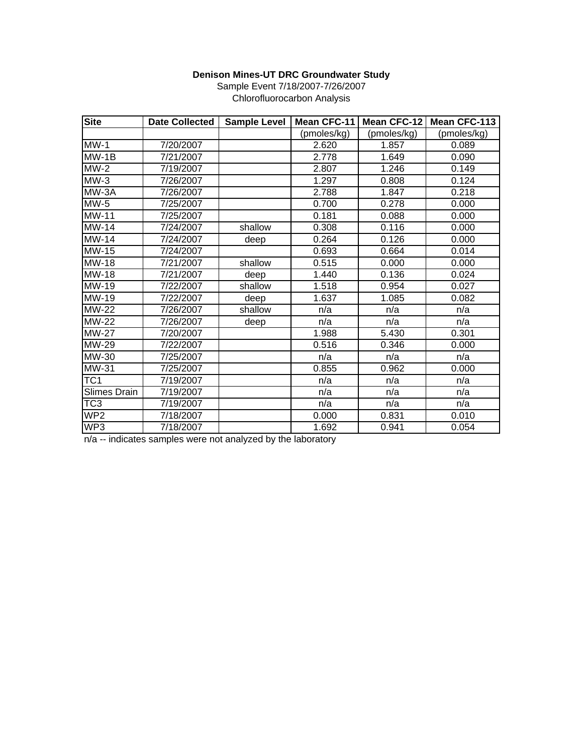| <b>Site</b>               | <b>Date Collected</b> | <b>Sample Level</b> | Mean CFC-11 |             | Mean CFC-12   Mean CFC-113 |
|---------------------------|-----------------------|---------------------|-------------|-------------|----------------------------|
|                           |                       |                     | (pmoles/kg) | (pmoles/kg) | (pmoles/kg)                |
| $MW-1$                    | 7/20/2007             |                     | 2.620       | 1.857       | 0.089                      |
| $MW-1B$                   | 7/21/2007             |                     | 2.778       | 1.649       | 0.090                      |
| $MW-2$                    | 7/19/2007             |                     | 2.807       | 1.246       | 0.149                      |
| $MW-3$                    | 7/26/2007             |                     | 1.297       | 0.808       | 0.124                      |
| MW-3A                     | 7/26/2007             |                     | 2.788       | 1.847       | 0.218                      |
| $MW-5$                    | 7/25/2007             |                     | 0.700       | 0.278       | 0.000                      |
| <b>MW-11</b>              | 7/25/2007             |                     | 0.181       | 0.088       | 0.000                      |
| $MW-14$                   | 7/24/2007             | shallow             | 0.308       | 0.116       | 0.000                      |
| <b>MW-14</b>              | 7/24/2007             | deep                | 0.264       | 0.126       | 0.000                      |
| MW-15                     | 7/24/2007             |                     | 0.693       | 0.664       | 0.014                      |
| MW-18                     | 7/21/2007             | shallow             | 0.515       | 0.000       | 0.000                      |
| MW-18                     | 7/21/2007             | deep                | 1.440       | 0.136       | 0.024                      |
| MW-19                     | 7/22/2007             | shallow             | 1.518       | 0.954       | 0.027                      |
| MW-19                     | 7/22/2007             | deep                | 1.637       | 1.085       | 0.082                      |
| $MW-22$                   | 7/26/2007             | shallow             | n/a         | n/a         | n/a                        |
| MW-22                     | 7/26/2007             | deep                | n/a         | n/a         | n/a                        |
| <b>MW-27</b>              | 7/20/2007             |                     | 1.988       | 5.430       | 0.301                      |
| $\overline{\text{MW-29}}$ | 7/22/2007             |                     | 0.516       | 0.346       | 0.000                      |
| MW-30                     | 7/25/2007             |                     | n/a         | n/a         | n/a                        |
| MW-31                     | 7/25/2007             |                     | 0.855       | 0.962       | 0.000                      |
| TC <sub>1</sub>           | 7/19/2007             |                     | n/a         | n/a         | n/a                        |
| Slimes Drain              | 7/19/2007             |                     | n/a         | n/a         | n/a                        |
| TC <sub>3</sub>           | 7/19/2007             |                     | n/a         | n/a         | n/a                        |
| WP <sub>2</sub>           | 7/18/2007             |                     | 0.000       | 0.831       | 0.010                      |
| WP3                       | 7/18/2007             |                     | 1.692       | 0.941       | 0.054                      |

Sample Event 7/18/2007-7/26/2007 Chlorofluorocarbon Analysis

n/a -- indicates samples were not analyzed by the laboratory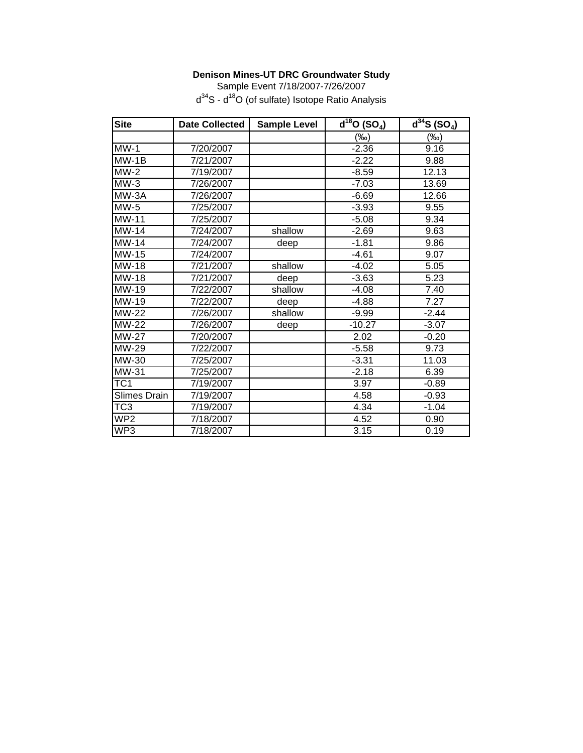Sample Event 7/18/2007-7/26/2007 d<sup>34</sup>S - d<sup>18</sup>O (of sulfate) Isotope Ratio Analysis

| <b>Site</b>             | <b>Date Collected</b> | <b>Sample Level</b> | $\overline{d^{18}O}$ (SO <sub>4</sub> ) | $\overline{d^{34}}S(SO_4)$ |
|-------------------------|-----------------------|---------------------|-----------------------------------------|----------------------------|
|                         |                       |                     | (‰)                                     | $(\%o)$                    |
| $MW-1$                  | 7/20/2007             |                     | $-2.36$                                 | 9.16                       |
| $MW-1B$                 | 7/21/2007             |                     | $-2.22$                                 | 9.88                       |
| $MW-2$                  | 7/19/2007             |                     | $-8.59$                                 | 12.13                      |
| $MW-3$                  | 7/26/2007             |                     | $-7.03$                                 | 13.69                      |
| MW-3A                   | 7/26/2007             |                     | $-6.69$                                 | 12.66                      |
| $MW-5$                  | 7/25/2007             |                     | $-3.93$                                 | 9.55                       |
| <b>MW-11</b>            | 7/25/2007             |                     | $-5.08$                                 | 9.34                       |
| MW-14                   | 7/24/2007             | shallow             | $-2.69$                                 | 9.63                       |
| $MW-14$                 | 7/24/2007             | deep                | $-1.81$                                 | 9.86                       |
| <b>MW-15</b>            | 7/24/2007             |                     | $-4.61$                                 | 9.07                       |
| MW-18                   | 7/21/2007             | shallow             | $-4.02$                                 | 5.05                       |
| MW-18                   | 7/21/2007             | deep                | $-3.63$                                 | 5.23                       |
| MW-19                   | 7/22/2007             | shallow             | $-4.08$                                 | 7.40                       |
| MW-19                   | 7/22/2007             | deep                | $-4.88$                                 | 7.27                       |
| MW-22                   | 7/26/2007             | shallow             | $-9.99$                                 | $-2.44$                    |
| <b>MW-22</b>            | 7/26/2007             | deep                | $-10.27$                                | $-3.07$                    |
| <b>MW-27</b>            | 7/20/2007             |                     | 2.02                                    | $-0.20$                    |
| MW-29                   | 7/22/2007             |                     | $-5.58$                                 | 9.73                       |
| MW-30                   | 7/25/2007             |                     | $-3.31$                                 | 11.03                      |
| MW-31                   | 7/25/2007             |                     | $-2.18$                                 | 6.39                       |
| TC <sub>1</sub>         | 7/19/2007             |                     | 3.97                                    | $-0.89$                    |
| Slimes Drain            | 7/19/2007             |                     | 4.58                                    | $-0.93$                    |
| $\overline{\text{TC3}}$ | 7/19/2007             |                     | 4.34                                    | $-1.04$                    |
| $\overline{\text{WP2}}$ | 7/18/2007             |                     | 4.52                                    | 0.90                       |
| WP3                     | 7/18/2007             |                     | 3.15                                    | 0.19                       |